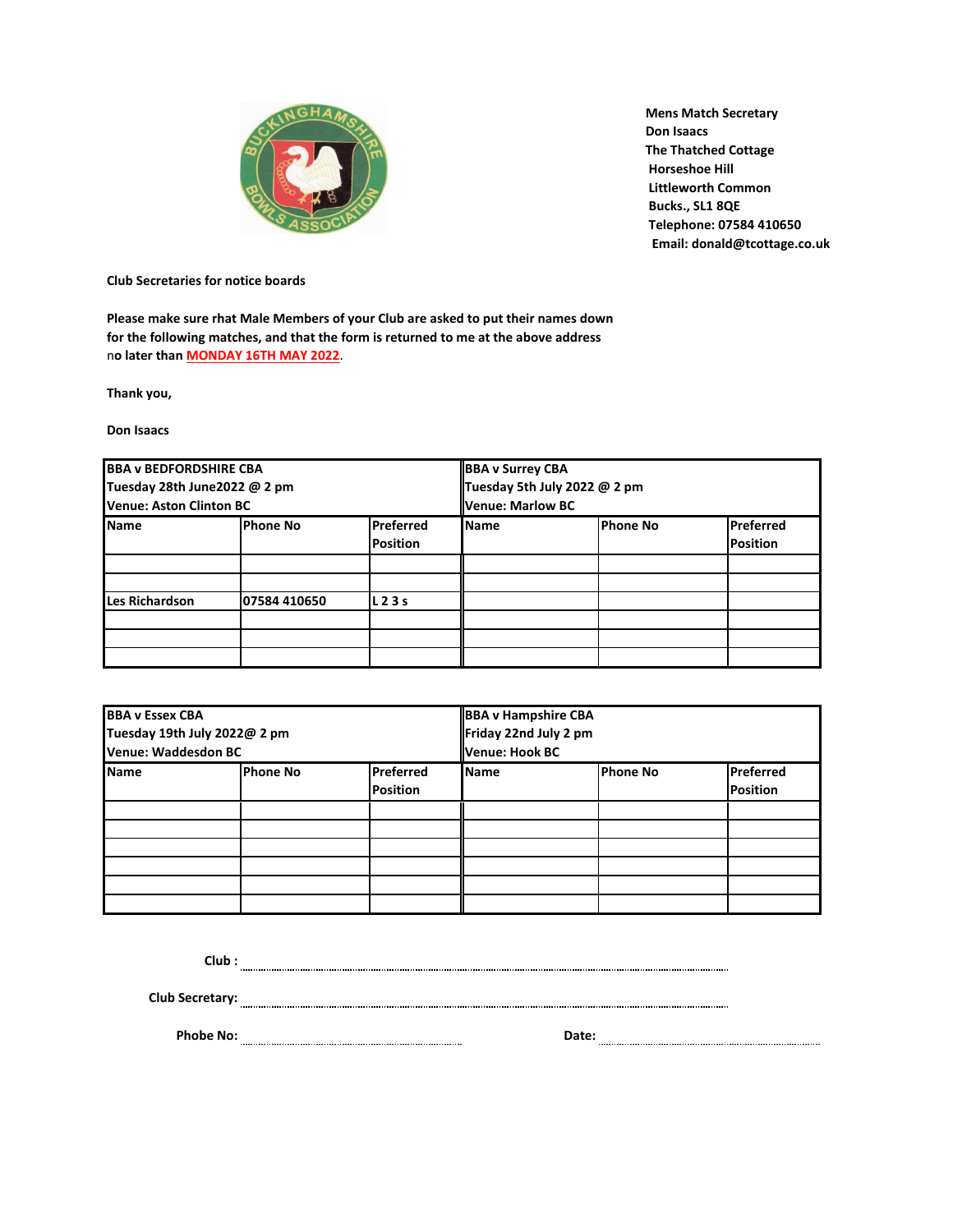

 **Mens Match Secretary Don Isaacs The Thatched Cottage Horseshoe Hill Littleworth Common Bucks., SL1 8QE Telephone: 07584 410650 Email: donald@tcottage.co.uk**

**Club Secretaries for notice boards**

**Please make sure rhat Male Members of your Club are asked to put their names down for the following matches, and that the form is returned to me at the above address** n**o later than MONDAY 16TH MAY 2022**.

**Thank you,**

**Don Isaacs**

| <b>BBA v BEDFORDSHIRE CBA</b><br>Tuesday 28th June2022 @ 2 pm<br>Venue: Aston Clinton BC |              |                              | <b>BBA v Surrey CBA</b><br>Tuesday 5th July 2022 @ 2 pm<br>lVenue: Marlow BC |                 |                              |
|------------------------------------------------------------------------------------------|--------------|------------------------------|------------------------------------------------------------------------------|-----------------|------------------------------|
| <b>Name</b>                                                                              | Phone No     | Preferred<br><b>Position</b> | <b>Name</b>                                                                  | <b>Phone No</b> | Preferred<br><b>Position</b> |
| <b>Les Richardson</b>                                                                    | 07584 410650 | L23s                         |                                                                              |                 |                              |
|                                                                                          |              |                              |                                                                              |                 |                              |
|                                                                                          |              |                              |                                                                              |                 |                              |

| <b>BBA v Essex CBA</b><br>Tuesday 19th July 2022@ 2 pm<br>Venue: Waddesdon BC |          |                              | <b>BBA v Hampshire CBA</b><br>Friday 22nd July 2 pm<br>lVenue: Hook BC |                 |                              |
|-------------------------------------------------------------------------------|----------|------------------------------|------------------------------------------------------------------------|-----------------|------------------------------|
| <b>Name</b>                                                                   | Phone No | Preferred<br><b>Position</b> | <b>Name</b>                                                            | <b>Phone No</b> | Preferred<br><b>Position</b> |
|                                                                               |          |                              |                                                                        |                 |                              |
|                                                                               |          |                              |                                                                        |                 |                              |
|                                                                               |          |                              |                                                                        |                 |                              |
|                                                                               |          |                              |                                                                        |                 |                              |
|                                                                               |          |                              |                                                                        |                 |                              |
|                                                                               |          |                              |                                                                        |                 |                              |

**Club :**

**Club Secretary:**

**Phobe No: Date:**